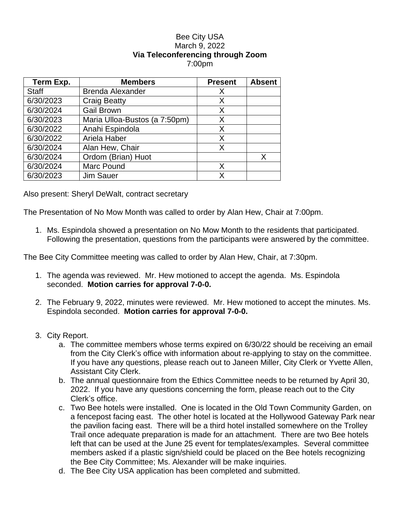## Bee City USA March 9, 2022 **Via Teleconferencing through Zoom** 7:00pm

| Term Exp.    | <b>Members</b>                | <b>Present</b> | <b>Absent</b> |
|--------------|-------------------------------|----------------|---------------|
| <b>Staff</b> | <b>Brenda Alexander</b>       | X              |               |
| 6/30/2023    | <b>Craig Beatty</b>           | X              |               |
| 6/30/2024    | <b>Gail Brown</b>             | X              |               |
| 6/30/2023    | Maria Ulloa-Bustos (a 7:50pm) | X              |               |
| 6/30/2022    | Anahi Espindola               | X              |               |
| 6/30/2022    | Ariela Haber                  | X              |               |
| 6/30/2024    | Alan Hew, Chair               | X              |               |
| 6/30/2024    | Ordom (Brian) Huot            |                | X             |
| 6/30/2024    | Marc Pound                    | X              |               |
| 6/30/2023    | <b>Jim Sauer</b>              | x              |               |

Also present: Sheryl DeWalt, contract secretary

The Presentation of No Mow Month was called to order by Alan Hew, Chair at 7:00pm.

1. Ms. Espindola showed a presentation on No Mow Month to the residents that participated. Following the presentation, questions from the participants were answered by the committee.

The Bee City Committee meeting was called to order by Alan Hew, Chair, at 7:30pm.

- 1. The agenda was reviewed. Mr. Hew motioned to accept the agenda. Ms. Espindola seconded. **Motion carries for approval 7-0-0.**
- 2. The February 9, 2022, minutes were reviewed. Mr. Hew motioned to accept the minutes. Ms. Espindola seconded. **Motion carries for approval 7-0-0.**
- 3. City Report.
	- a. The committee members whose terms expired on 6/30/22 should be receiving an email from the City Clerk's office with information about re-applying to stay on the committee. If you have any questions, please reach out to Janeen Miller, City Clerk or Yvette Allen, Assistant City Clerk.
	- b. The annual questionnaire from the Ethics Committee needs to be returned by April 30, 2022. If you have any questions concerning the form, please reach out to the City Clerk's office.
	- c. Two Bee hotels were installed. One is located in the Old Town Community Garden, on a fencepost facing east. The other hotel is located at the Hollywood Gateway Park near the pavilion facing east. There will be a third hotel installed somewhere on the Trolley Trail once adequate preparation is made for an attachment. There are two Bee hotels left that can be used at the June 25 event for templates/examples. Several committee members asked if a plastic sign/shield could be placed on the Bee hotels recognizing the Bee City Committee; Ms. Alexander will be make inquiries.
	- d. The Bee City USA application has been completed and submitted.